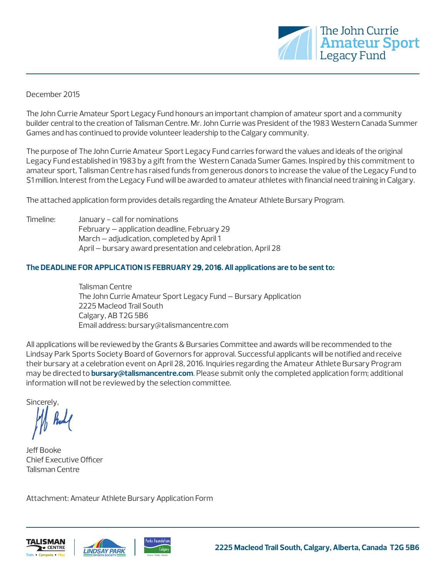

#### December 2015

The John Currie Amateur Sport Legacy Fund honours an important champion of amateur sport and a community builder central to the creation of Talisman Centre. Mr. John Currie was President of the 1983 Western Canada Summer Games and has continued to provide volunteer leadership to the Calgary community.

The purpose of The John Currie Amateur Sport Legacy Fund carries forward the values and ideals of the original Legacy Fund established in 1983 by a gift from the Western Canada Sumer Games. Inspired by this commitment to amateur sport, Talisman Centre has raised funds from generous donors to increase the value of the Legacy Fund to \$1 million. Interest from the Legacy Fund will be awarded to amateur athletes with financial need training in Calgary.

The attached application form provides details regarding the Amateur Athlete Bursary Program.

Timeline: January - call for nominations February – application deadline, February 29 March – adjudication, completed by April 1 April – bursary award presentation and celebration, April 28

#### **The DEADLINE FOR APPLICATION IS FEBRUARY 29, 2016. All applications are to be sent to:**

Talisman Centre The John Currie Amateur Sport Legacy Fund – Bursary Application 2225 Macleod Trail South Calgary, AB T2G 5B6 Email address: bursary@talismancentre.com

All applications will be reviewed by the Grants & Bursaries Committee and awards will be recommended to the Lindsay Park Sports Society Board of Governors for approval. Successful applicants will be notified and receive their bursary at a celebration event on April 28, 2016. Inquiries regarding the Amateur Athlete Bursary Program may be directed to **bursary@talismancentre.com**. Please submit only the completed application form; additional information will not be reviewed by the selection committee.

Sincerely,

Jeff Booke Chief Executive Officer Talisman Centre

Attachment: Amateur Athlete Bursary Application Form





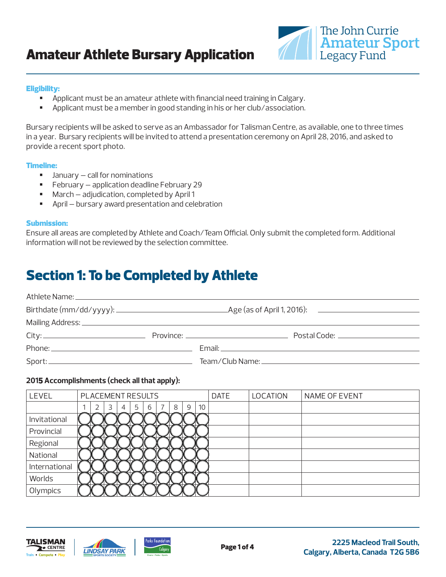## Amateur Athlete Bursary Application



#### Eligibility:

- Applicant must be an amateur athlete with financial need training in Calgary.
- Applicant must be a member in good standing in his or her club/association.

Bursary recipients will be asked to serve as an Ambassador for Talisman Centre, as available, one to three times in a year. Bursary recipients will be invited to attend a presentation ceremony on April 28, 2016, and asked to provide a recent sport photo.

#### Timeline:

- $\blacksquare$  January call for nominations
- **February application deadline February 29**
- March adjudication, completed by April 1
- April bursary award presentation and celebration

#### Submission:

Ensure all areas are completed by Athlete and Coach/Team Official. Only submit the completed form. Additional information will not be reviewed by the selection committee.

## Section 1: To be Completed by Athlete

|                                                                                                                                                                                                                                                                                                                                                                               | Province: __________________________________ |  |  |  |  |
|-------------------------------------------------------------------------------------------------------------------------------------------------------------------------------------------------------------------------------------------------------------------------------------------------------------------------------------------------------------------------------|----------------------------------------------|--|--|--|--|
|                                                                                                                                                                                                                                                                                                                                                                               |                                              |  |  |  |  |
| $\textsf{Sport:}\xspace \begin{picture}(10,10) \put(0,0){\vector(1,0){100}} \put(15,0){\vector(1,0){100}} \put(15,0){\vector(1,0){100}} \put(15,0){\vector(1,0){100}} \put(15,0){\vector(1,0){100}} \put(15,0){\vector(1,0){100}} \put(15,0){\vector(1,0){100}} \put(15,0){\vector(1,0){100}} \put(15,0){\vector(1,0){100}} \put(15,0){\vector(1,0){100}} \put(15,0){\vector$ |                                              |  |  |  |  |

## **2015 Accomplishments (check all that apply):**

| LEVEL         | PLACEMENT RESULTS |   |   |   |   |  |   |   |    | <b>DATE</b> | <b>LOCATION</b> | NAME OF EVENT |
|---------------|-------------------|---|---|---|---|--|---|---|----|-------------|-----------------|---------------|
|               |                   | 3 | 4 | 5 | 6 |  | 8 | 9 | 10 |             |                 |               |
| Invitational  |                   |   |   |   |   |  |   |   |    |             |                 |               |
| Provincial    |                   |   |   |   |   |  |   |   |    |             |                 |               |
| Regional      |                   |   |   |   |   |  |   |   |    |             |                 |               |
| National      |                   |   |   |   |   |  |   |   |    |             |                 |               |
| International |                   |   |   |   |   |  |   |   |    |             |                 |               |
| Worlds        |                   |   |   |   |   |  |   |   |    |             |                 |               |
| Olympics      |                   |   |   |   |   |  |   |   |    |             |                 |               |





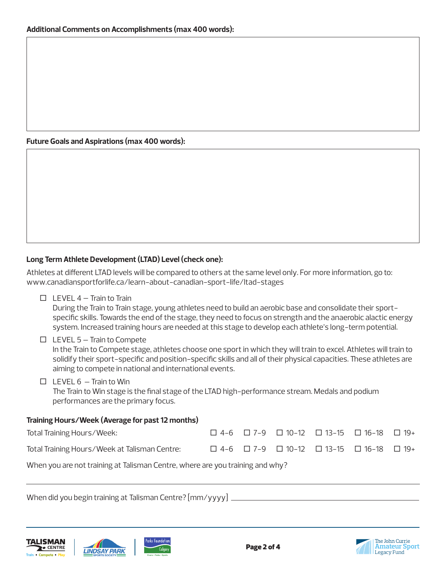### **Future Goals and Aspirations (max 400 words):**

## **Long Term Athlete Development (LTAD) Level (check one):**

Athletes at different LTAD levels will be compared to others at the same level only. For more information, go to: www.canadiansportforlife.ca/learn-about-canadian-sport-life/ltad-stages

 $\Box$  LEVEL 4 – Train to Train

 During the Train to Train stage, young athletes need to build an aerobic base and consolidate their sport specific skills. Towards the end of the stage, they need to focus on strength and the anaerobic alactic energy system. Increased training hours are needed at this stage to develop each athlete's long-term potential.

## $\Box$  LEVEL 5 – Train to Compete

 In the Train to Compete stage, athletes choose one sport in which they will train to excel. Athletes will train to solidify their sport-specific and position-specific skills and all of their physical capacities. These athletes are aiming to compete in national and international events.

 $\Box$  LEVEL 6 – Train to Win

 The Train to Win stage is the final stage of the LTAD high-performance stream. Medals and podium performances are the primary focus.

#### **Training Hours/Week (Average for past 12 months)**

| Total Training Hours/Week:                    |  |  | $\Box$ 4-6 $\Box$ 7-9 $\Box$ 10-12 $\Box$ 13-15 $\Box$ 16-18 $\Box$ 19+ |  |
|-----------------------------------------------|--|--|-------------------------------------------------------------------------|--|
| Total Training Hours/Week at Talisman Centre: |  |  | $\Box$ 4-6 $\Box$ 7-9 $\Box$ 10-12 $\Box$ 13-15 $\Box$ 16-18 $\Box$ 19+ |  |

When you are not training at Talisman Centre, where are you training and why?

When did you begin training at Talisman Centre? [mm/yyyy]







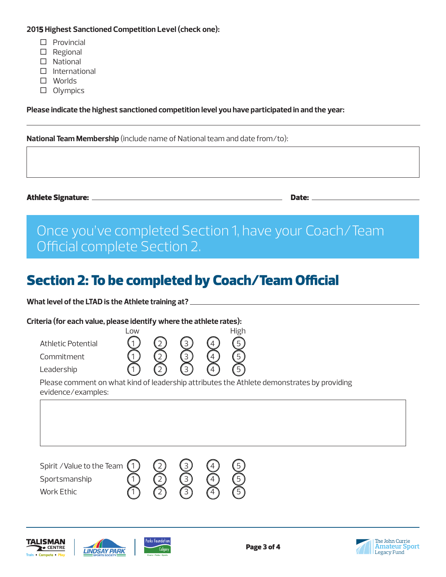#### **2015 Highest Sanctioned Competition Level (check one):**

- $\square$  Provincial
- $\Box$  Regional
- $\Box$  National
- $\square$  International
- Worlds
- □ Olympics

**Please indicate the highest sanctioned competition level you have participated in and the year:**

**National Team Membership** (include name of National team and date from/to):

Athlete Signature: Date:

# Once you've completed Section 1, have your Coach/Team Official complete Section 2.

# Section 2: To be completed by Coach/Team Official

**What level of the LTAD is the Athlete training at?** 

#### **Criteria (for each value, please identify where the athlete rates):**



Please comment on what kind of leadership attributes the Athlete demonstrates by providing evidence/examples:

Spirit / Value to the Team (1)<br>Sportsmanship<br>Work Ethic (1) Sportsmanship  $\overline{Q}$   $\overline{Q}$   $\overline{Q}$   $\overline{Q}$ Work Ethic